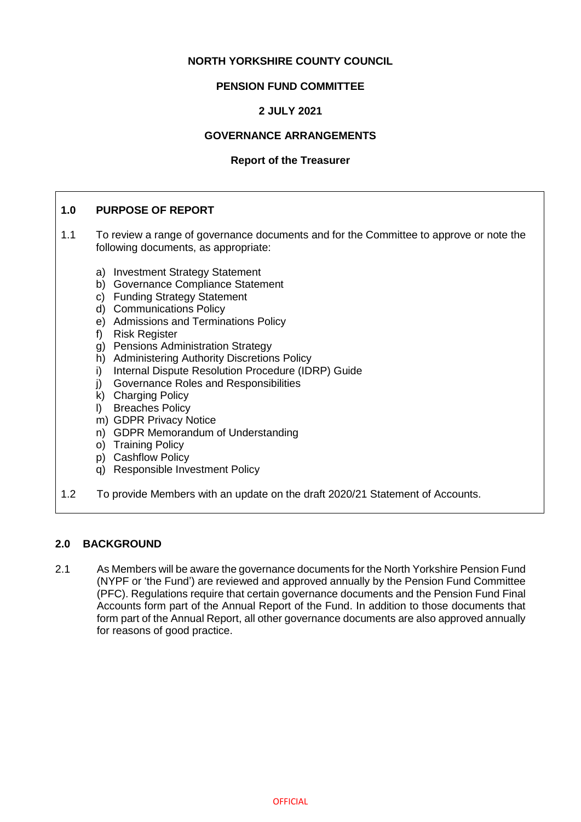# **NORTH YORKSHIRE COUNTY COUNCIL**

# **PENSION FUND COMMITTEE**

# **2 JULY 2021**

# **GOVERNANCE ARRANGEMENTS**

#### **Report of the Treasurer**

# **1.0 PURPOSE OF REPORT**

- 1.1 To review a range of governance documents and for the Committee to approve or note the following documents, as appropriate:
	- a) Investment Strategy Statement
	- b) Governance Compliance Statement
	- c) Funding Strategy Statement
	- d) Communications Policy
	- e) Admissions and Terminations Policy
	- f) Risk Register
	- g) Pensions Administration Strategy
	- h) Administering Authority Discretions Policy
	- i) Internal Dispute Resolution Procedure (IDRP) Guide
	- j) Governance Roles and Responsibilities
	- k) Charging Policy
	- l) Breaches Policy
	- m) GDPR Privacy Notice
	- n) GDPR Memorandum of Understanding
	- o) Training Policy
	- p) Cashflow Policy
	- q) Responsible Investment Policy
- 1.2 To provide Members with an update on the draft 2020/21 Statement of Accounts.

### **2.0 BACKGROUND**

2.1 As Members will be aware the governance documents for the North Yorkshire Pension Fund (NYPF or 'the Fund') are reviewed and approved annually by the Pension Fund Committee (PFC). Regulations require that certain governance documents and the Pension Fund Final Accounts form part of the Annual Report of the Fund. In addition to those documents that form part of the Annual Report, all other governance documents are also approved annually for reasons of good practice.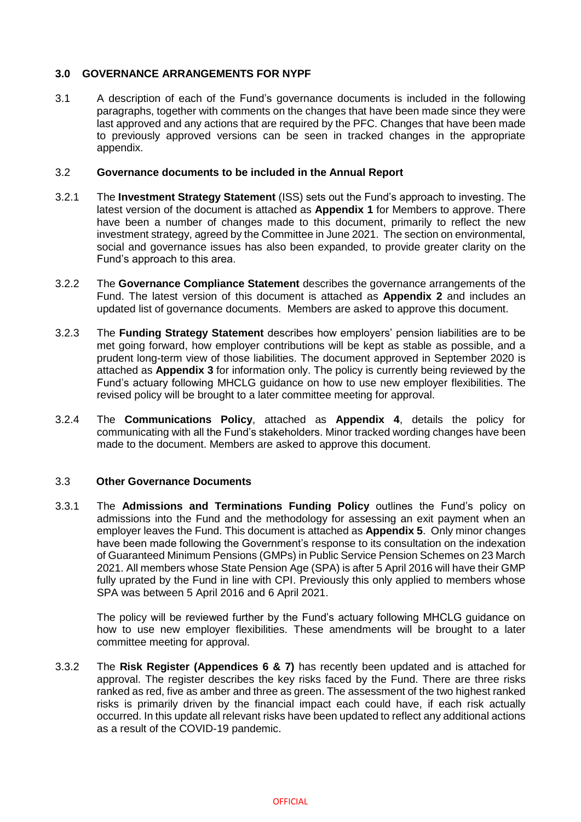## **3.0 GOVERNANCE ARRANGEMENTS FOR NYPF**

3.1 A description of each of the Fund's governance documents is included in the following paragraphs, together with comments on the changes that have been made since they were last approved and any actions that are required by the PFC. Changes that have been made to previously approved versions can be seen in tracked changes in the appropriate appendix.

#### 3.2 **Governance documents to be included in the Annual Report**

- 3.2.1 The **Investment Strategy Statement** (ISS) sets out the Fund's approach to investing. The latest version of the document is attached as **Appendix 1** for Members to approve. There have been a number of changes made to this document, primarily to reflect the new investment strategy, agreed by the Committee in June 2021. The section on environmental, social and governance issues has also been expanded, to provide greater clarity on the Fund's approach to this area.
- 3.2.2 The **Governance Compliance Statement** describes the governance arrangements of the Fund. The latest version of this document is attached as **Appendix 2** and includes an updated list of governance documents. Members are asked to approve this document.
- 3.2.3 The **Funding Strategy Statement** describes how employers' pension liabilities are to be met going forward, how employer contributions will be kept as stable as possible, and a prudent long-term view of those liabilities. The document approved in September 2020 is attached as **Appendix 3** for information only. The policy is currently being reviewed by the Fund's actuary following MHCLG guidance on how to use new employer flexibilities. The revised policy will be brought to a later committee meeting for approval.
- 3.2.4 The **Communications Policy**, attached as **Appendix 4**, details the policy for communicating with all the Fund's stakeholders. Minor tracked wording changes have been made to the document. Members are asked to approve this document.

### 3.3 **Other Governance Documents**

3.3.1 The **Admissions and Terminations Funding Policy** outlines the Fund's policy on admissions into the Fund and the methodology for assessing an exit payment when an employer leaves the Fund. This document is attached as **Appendix 5**. Only minor changes have been made following the Government's response to its consultation on the indexation of Guaranteed Minimum Pensions (GMPs) in Public Service Pension Schemes on 23 March 2021. All members whose State Pension Age (SPA) is after 5 April 2016 will have their GMP fully uprated by the Fund in line with CPI. Previously this only applied to members whose SPA was between 5 April 2016 and 6 April 2021.

The policy will be reviewed further by the Fund's actuary following MHCLG guidance on how to use new employer flexibilities. These amendments will be brought to a later committee meeting for approval.

3.3.2 The **Risk Register (Appendices 6 & 7)** has recently been updated and is attached for approval. The register describes the key risks faced by the Fund. There are three risks ranked as red, five as amber and three as green. The assessment of the two highest ranked risks is primarily driven by the financial impact each could have, if each risk actually occurred. In this update all relevant risks have been updated to reflect any additional actions as a result of the COVID-19 pandemic.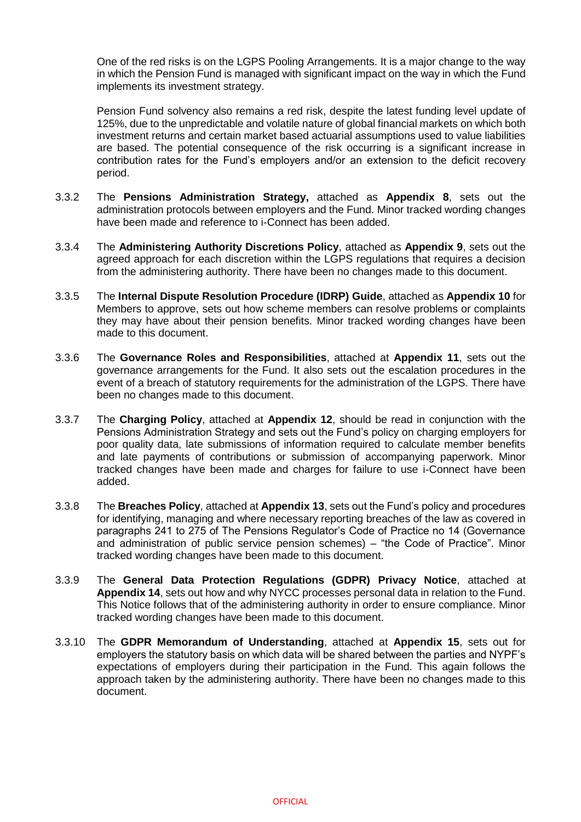One of the red risks is on the LGPS Pooling Arrangements. It is a major change to the way in which the Pension Fund is managed with significant impact on the way in which the Fund implements its investment strategy.

Pension Fund solvency also remains a red risk, despite the latest funding level update of 125%, due to the unpredictable and volatile nature of global financial markets on which both investment returns and certain market based actuarial assumptions used to value liabilities are based. The potential consequence of the risk occurring is a significant increase in contribution rates for the Fund's employers and/or an extension to the deficit recovery period.

- 3.3.2 The **Pensions Administration Strategy,** attached as **Appendix 8**, sets out the administration protocols between employers and the Fund. Minor tracked wording changes have been made and reference to i-Connect has been added.
- 3.3.4 The **Administering Authority Discretions Policy**, attached as **Appendix 9**, sets out the agreed approach for each discretion within the LGPS regulations that requires a decision from the administering authority. There have been no changes made to this document.
- 3.3.5 The **Internal Dispute Resolution Procedure (IDRP) Guide**, attached as **Appendix 10** for Members to approve, sets out how scheme members can resolve problems or complaints they may have about their pension benefits. Minor tracked wording changes have been made to this document.
- 3.3.6 The **Governance Roles and Responsibilities**, attached at **Appendix 11**, sets out the governance arrangements for the Fund. It also sets out the escalation procedures in the event of a breach of statutory requirements for the administration of the LGPS. There have been no changes made to this document.
- 3.3.7 The **Charging Policy**, attached at **Appendix 12**, should be read in conjunction with the Pensions Administration Strategy and sets out the Fund's policy on charging employers for poor quality data, late submissions of information required to calculate member benefits and late payments of contributions or submission of accompanying paperwork. Minor tracked changes have been made and charges for failure to use i-Connect have been added.
- 3.3.8 The **Breaches Policy**, attached at **Appendix 13**, sets out the Fund's policy and procedures for identifying, managing and where necessary reporting breaches of the law as covered in paragraphs 241 to 275 of The Pensions Regulator's Code of Practice no 14 (Governance and administration of public service pension schemes) – "the Code of Practice". Minor tracked wording changes have been made to this document.
- 3.3.9 The **General Data Protection Regulations (GDPR) Privacy Notice**, attached at **Appendix 14**, sets out how and why NYCC processes personal data in relation to the Fund. This Notice follows that of the administering authority in order to ensure compliance. Minor tracked wording changes have been made to this document.
- 3.3.10 The **GDPR Memorandum of Understanding**, attached at **Appendix 15**, sets out for employers the statutory basis on which data will be shared between the parties and NYPF's expectations of employers during their participation in the Fund. This again follows the approach taken by the administering authority. There have been no changes made to this document.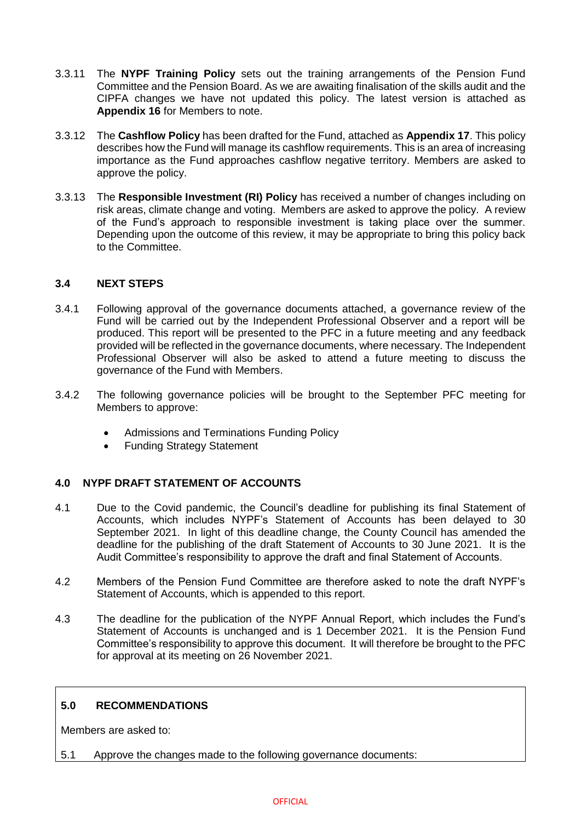- 3.3.11 The **NYPF Training Policy** sets out the training arrangements of the Pension Fund Committee and the Pension Board. As we are awaiting finalisation of the skills audit and the CIPFA changes we have not updated this policy. The latest version is attached as **Appendix 16** for Members to note.
- 3.3.12 The **Cashflow Policy** has been drafted for the Fund, attached as **Appendix 17**. This policy describes how the Fund will manage its cashflow requirements. This is an area of increasing importance as the Fund approaches cashflow negative territory. Members are asked to approve the policy.
- 3.3.13 The **Responsible Investment (RI) Policy** has received a number of changes including on risk areas, climate change and voting. Members are asked to approve the policy. A review of the Fund's approach to responsible investment is taking place over the summer. Depending upon the outcome of this review, it may be appropriate to bring this policy back to the Committee.

### **3.4 NEXT STEPS**

- 3.4.1 Following approval of the governance documents attached, a governance review of the Fund will be carried out by the Independent Professional Observer and a report will be produced. This report will be presented to the PFC in a future meeting and any feedback provided will be reflected in the governance documents, where necessary. The Independent Professional Observer will also be asked to attend a future meeting to discuss the governance of the Fund with Members.
- 3.4.2 The following governance policies will be brought to the September PFC meeting for Members to approve:
	- Admissions and Terminations Funding Policy
	- Funding Strategy Statement

# **4.0 NYPF DRAFT STATEMENT OF ACCOUNTS**

- 4.1 Due to the Covid pandemic, the Council's deadline for publishing its final Statement of Accounts, which includes NYPF's Statement of Accounts has been delayed to 30 September 2021. In light of this deadline change, the County Council has amended the deadline for the publishing of the draft Statement of Accounts to 30 June 2021. It is the Audit Committee's responsibility to approve the draft and final Statement of Accounts.
- 4.2 Members of the Pension Fund Committee are therefore asked to note the draft NYPF's Statement of Accounts, which is appended to this report.
- 4.3 The deadline for the publication of the NYPF Annual Report, which includes the Fund's Statement of Accounts is unchanged and is 1 December 2021. It is the Pension Fund Committee's responsibility to approve this document. It will therefore be brought to the PFC for approval at its meeting on 26 November 2021.

### **5.0 RECOMMENDATIONS**

Members are asked to:

5.1 Approve the changes made to the following governance documents: